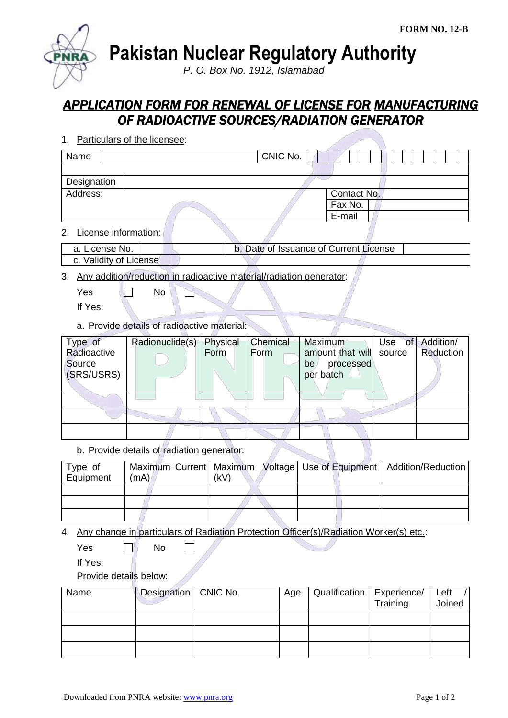**Pakistan Nuclear Regulatory Authority**

*P. O. Box No. 1912, Islamabad*

## *APPLICATION FORM FOR RENEWAL OF LICENSE FOR MANUFACTURING OF RADIOACTIVE SOURCES/RADIATION GENERATOR*

| 1. Particulars of the licensee: |                                        |             |  |  |  |
|---------------------------------|----------------------------------------|-------------|--|--|--|
| Name                            | CNIC No.                               |             |  |  |  |
|                                 |                                        |             |  |  |  |
| Designation                     |                                        |             |  |  |  |
| Address:                        |                                        | Contact No. |  |  |  |
|                                 |                                        | Fax No.     |  |  |  |
|                                 |                                        | E-mail      |  |  |  |
| 2. License information:         |                                        |             |  |  |  |
| a. License No.                  | b. Date of Issuance of Current License |             |  |  |  |
| c. Validity of License          |                                        |             |  |  |  |

## 3. Any addition/reduction in radioactive material/radiation generator:

 $Yes \t N$ F

If Yes:

a. Provide details of radioactive material:

| Type of     | Radionuclide(s) Physical |      | Chemical | Maximum          |        | Use of Addition/ |
|-------------|--------------------------|------|----------|------------------|--------|------------------|
| Radioactive |                          | Form | Form     | amount that will | source | Reduction        |
| Source      |                          |      |          | processed<br>be. |        |                  |
| (SRS/USRS)  |                          |      |          | per batch        |        |                  |
|             |                          |      |          |                  |        |                  |
|             |                          |      |          |                  |        |                  |
|             |                          |      |          |                  |        |                  |
|             |                          |      |          |                  |        |                  |

## b. Provide details of radiation generator:

| Type of<br>Equipment | (mA) | (kV) |  | Maximum Current   Maximum Voltage   Use of Equipment   Addition/Reduction |
|----------------------|------|------|--|---------------------------------------------------------------------------|
|                      |      |      |  |                                                                           |
|                      |      |      |  |                                                                           |
|                      |      |      |  |                                                                           |

- 4. Any change in particulars of Radiation Protection Officer(s)/Radiation Worker(s) etc.:
	- $Yes \qquad \Box \qquad No$

If Yes:

Provide details below:

| Name | Designation   CNIC No. | Age | Qualification   Experience/ |          | Left   |
|------|------------------------|-----|-----------------------------|----------|--------|
|      |                        |     |                             | Training | Joined |
|      |                        |     |                             |          |        |
|      |                        |     |                             |          |        |
|      |                        |     |                             |          |        |
|      |                        |     |                             |          |        |
|      |                        |     |                             |          |        |